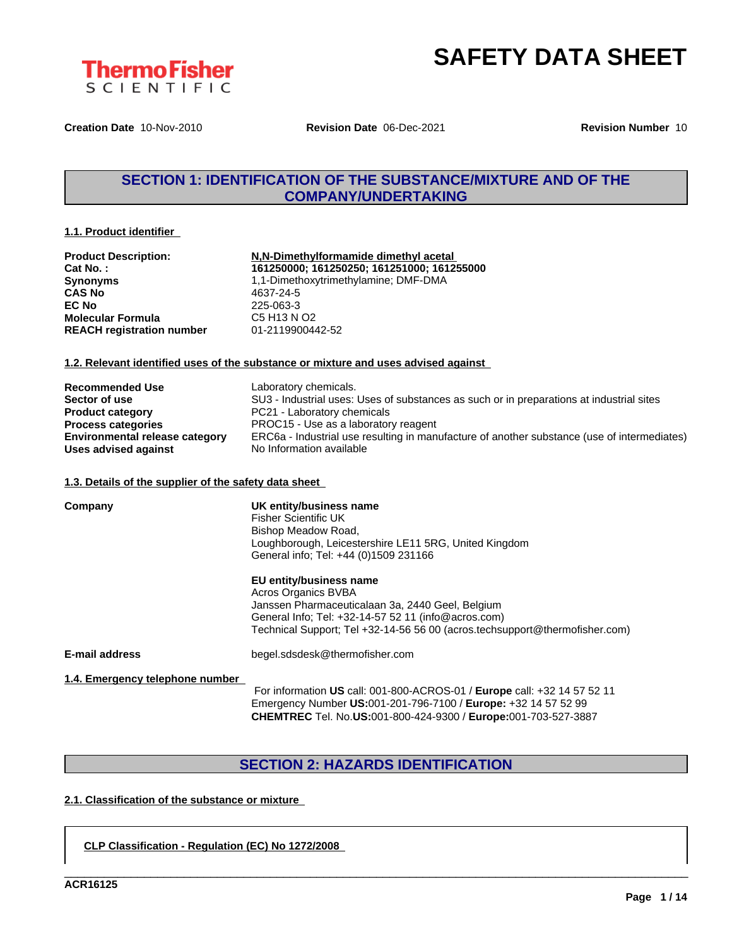

**Creation Date** 10-Nov-2010 **Revision Date** 06-Dec-2021 **Revision Number** 10

## **SECTION 1: IDENTIFICATION OF THE SUBSTANCE/MIXTURE AND OF THE COMPANY/UNDERTAKING**

## **1.1. Product identifier**

| N,N-Dimethylformamide dimethyl acetal      |
|--------------------------------------------|
| 161250000; 161250250; 161251000; 161255000 |
| 1,1-Dimethoxytrimethylamine; DMF-DMA       |
| 4637-24-5                                  |
| 225-063-3                                  |
| C5 H13 N O2                                |
| 01-2119900442-52                           |
|                                            |

## **1.2. Relevant identified uses of the substance or mixture and uses advised against**

| <b>Recommended Use</b>                | Laboratory chemicals.                                                                       |
|---------------------------------------|---------------------------------------------------------------------------------------------|
| Sector of use                         | SU3 - Industrial uses: Uses of substances as such or in preparations at industrial sites    |
| <b>Product category</b>               | PC21 - Laboratory chemicals                                                                 |
| <b>Process categories</b>             | PROC15 - Use as a laboratory reagent                                                        |
| <b>Environmental release category</b> | ERC6a - Industrial use resulting in manufacture of another substance (use of intermediates) |
| Uses advised against                  | No Information available                                                                    |

## **1.3. Details of the supplier of the safety data sheet**

| Company                         | UK entity/business name<br><b>Fisher Scientific UK</b><br>Bishop Meadow Road,<br>Loughborough, Leicestershire LE11 5RG, United Kingdom<br>General info: Tel: +44 (0)1509 231166                                                          |
|---------------------------------|------------------------------------------------------------------------------------------------------------------------------------------------------------------------------------------------------------------------------------------|
|                                 | EU entity/business name<br>Acros Organics BVBA<br>Janssen Pharmaceuticalaan 3a, 2440 Geel, Belgium<br>General Info; Tel: +32-14-57 52 11 (info@acros.com)<br>Technical Support; Tel +32-14-56 56 00 (acros.techsupport@thermofisher.com) |
| E-mail address                  | begel.sdsdesk@thermofisher.com                                                                                                                                                                                                           |
| 1.4. Emergency telephone number | For information US call: 001-800-ACROS-01 / Europe call: +32 14 57 52 11<br>Emergency Number US:001-201-796-7100 / Europe: +32 14 57 52 99<br><b>CHEMTREC</b> Tel. No.US:001-800-424-9300 / Europe:001-703-527-3887                      |

# **SECTION 2: HAZARDS IDENTIFICATION**

\_\_\_\_\_\_\_\_\_\_\_\_\_\_\_\_\_\_\_\_\_\_\_\_\_\_\_\_\_\_\_\_\_\_\_\_\_\_\_\_\_\_\_\_\_\_\_\_\_\_\_\_\_\_\_\_\_\_\_\_\_\_\_\_\_\_\_\_\_\_\_\_\_\_\_\_\_\_\_\_\_\_\_\_\_\_\_\_\_\_\_\_\_\_

## **2.1. Classification of the substance or mixture**

**CLP Classification - Regulation (EC) No 1272/2008**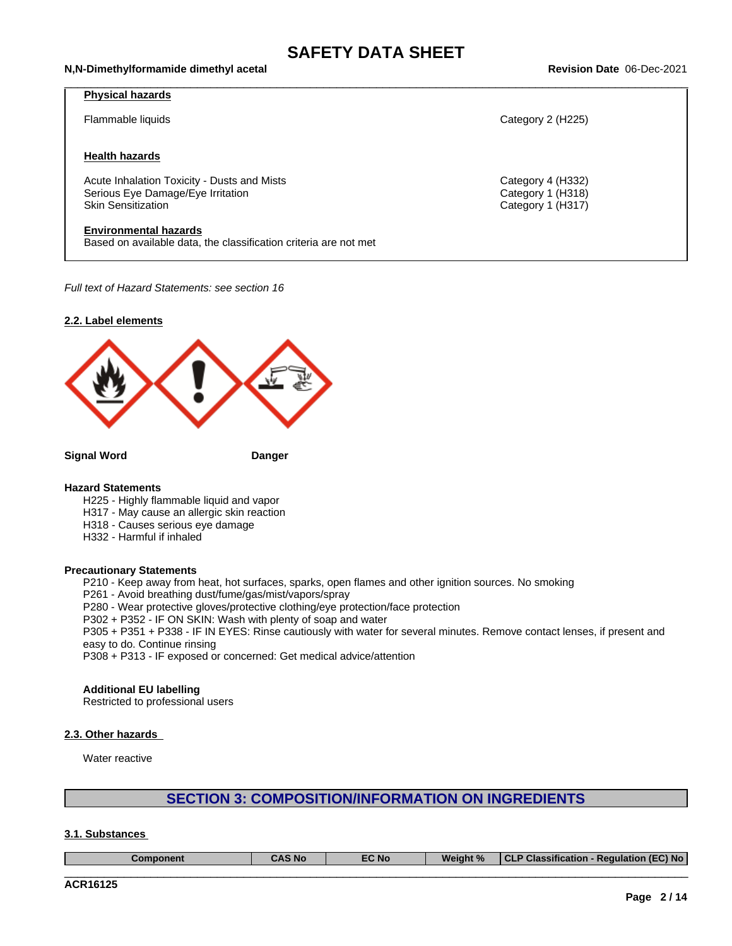#### \_\_\_\_\_\_\_\_\_\_\_\_\_\_\_\_\_\_\_\_\_\_\_\_\_\_\_\_\_\_\_\_\_\_\_\_\_\_\_\_\_\_\_\_\_\_\_\_\_\_\_\_\_\_\_\_\_\_\_\_\_\_\_\_\_\_\_\_\_\_\_\_\_\_\_\_\_\_\_\_\_\_\_\_\_\_\_\_\_\_\_\_\_\_ **N,N-Dimethylformamide dimethyl acetal Revision Date** 06-Dec-2021

## **Physical hazards**

## **Health hazards**

Acute Inhalation Toxicity - Dusts and Mists Category 4 (H332) Serious Eye Damage/Eye Irritation **Category 1 (H318)**<br>
Skin Sensitization Category 1 (H317)

#### **Environmental hazards**

Based on available data, the classification criteria are not met

*Full text of Hazard Statements: see section 16*



**Signal Word Danger**

## **Hazard Statements**

H225 - Highly flammable liquid and vapor

H317 - May cause an allergic skin reaction

- H318 Causes serious eye damage
- H332 Harmful if inhaled

## **Precautionary Statements**

P210 - Keep away from heat, hot surfaces, sparks, open flames and other ignition sources. No smoking

P261 - Avoid breathing dust/fume/gas/mist/vapors/spray

P280 - Wear protective gloves/protective clothing/eye protection/face protection

P302 + P352 - IF ON SKIN: Wash with plenty of soap and water

P305 + P351 + P338 - IF IN EYES: Rinse cautiously with water for several minutes. Remove contact lenses, if present and easy to do. Continue rinsing

P308 + P313 - IF exposed or concerned: Get medical advice/attention

#### **Additional EU labelling**

Restricted to professional users

## **2.3. Other hazards**

Water reactive

## **SECTION 3: COMPOSITION/INFORMATION ON INGREDIENTS**

## **3.1. Substances**

| Component | CAS No | $FC$ No. | Weight % | $T - T$<br>$\overline{\phantom{a}}$<br>. .<br>EC) No .<br><b>Classification</b><br>→ Requiation (⊾<br>$\bullet$ |
|-----------|--------|----------|----------|-----------------------------------------------------------------------------------------------------------------|
|           |        |          |          |                                                                                                                 |

Flammable liquids Category 2 (H225)

Category 1 (H317)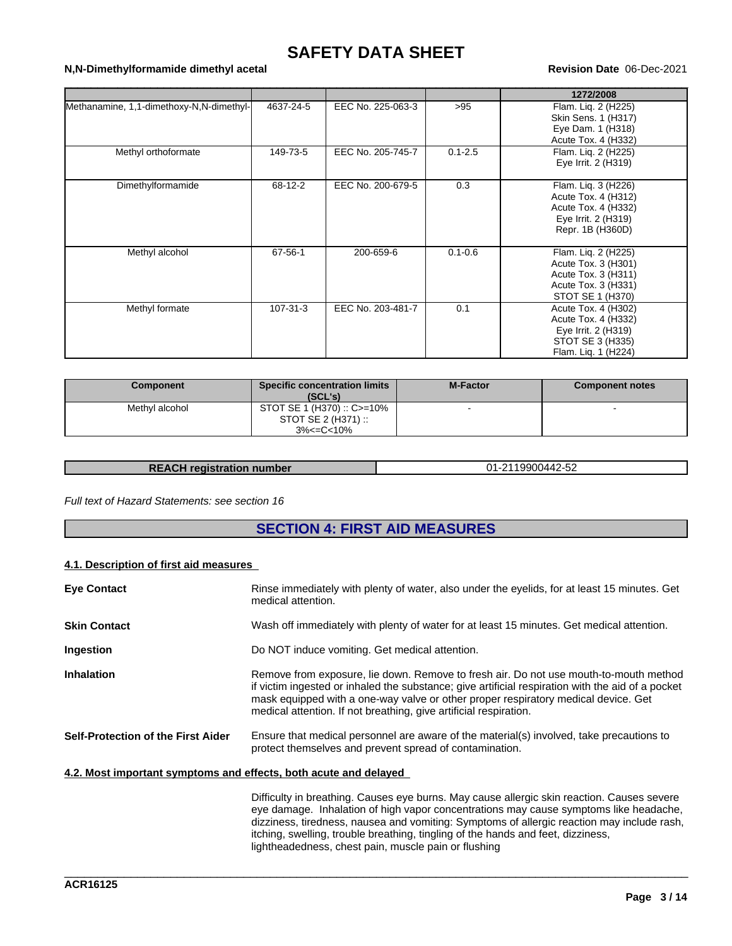# **SAFETY DATA SHEET**<br>Revision Date 06-Dec-2021

## \_\_\_\_\_\_\_\_\_\_\_\_\_\_\_\_\_\_\_\_\_\_\_\_\_\_\_\_\_\_\_\_\_\_\_\_\_\_\_\_\_\_\_\_\_\_\_\_\_\_\_\_\_\_\_\_\_\_\_\_\_\_\_\_\_\_\_\_\_\_\_\_\_\_\_\_\_\_\_\_\_\_\_\_\_\_\_\_\_\_\_\_\_\_ **N,N-Dimethylformamide dimethyl acetal Revision Date** 06-Dec-2021

|                                          |           |                   |             | 1272/2008                                                                                                    |
|------------------------------------------|-----------|-------------------|-------------|--------------------------------------------------------------------------------------------------------------|
| Methanamine, 1,1-dimethoxy-N,N-dimethyl- | 4637-24-5 | EEC No. 225-063-3 | >95         | Flam. Lig. 2 (H225)<br>Skin Sens. 1 (H317)<br>Eye Dam. 1 (H318)<br>Acute Tox. 4 (H332)                       |
| Methyl orthoformate                      | 149-73-5  | EEC No. 205-745-7 | $0.1 - 2.5$ | Flam. Lig. 2 (H225)<br>Eye Irrit. 2 (H319)                                                                   |
| Dimethylformamide                        | 68-12-2   | EEC No. 200-679-5 | 0.3         | Flam. Liq. 3 (H226)<br>Acute Tox. 4 (H312)<br>Acute Tox. 4 (H332)<br>Eye Irrit. 2 (H319)<br>Repr. 1B (H360D) |
| Methyl alcohol                           | 67-56-1   | 200-659-6         | $0.1 - 0.6$ | Flam. Lig. 2 (H225)<br>Acute Tox. 3 (H301)<br>Acute Tox. 3 (H311)<br>Acute Tox. 3 (H331)<br>STOT SE 1 (H370) |
| Methyl formate                           | 107-31-3  | EEC No. 203-481-7 | 0.1         | Acute Tox. 4 (H302)<br>Acute Tox. 4 (H332)<br>Eye Irrit. 2 (H319)<br>STOT SE 3 (H335)<br>Flam. Lig. 1 (H224) |

| Component      | <b>Specific concentration limits</b><br>(SCL's)                | <b>M-Factor</b> | Component notes |
|----------------|----------------------------------------------------------------|-----------------|-----------------|
| Methyl alcohol | STOT SE 1 (H370) :: C>=10%<br>STOT SE 2 (H371) ::<br>3%<=C<10% |                 |                 |

| <b>REACH registration number</b> | 2119900442-52<br>่าง |
|----------------------------------|----------------------|
|----------------------------------|----------------------|

## *Full text of Hazard Statements: see section 16*

## **SECTION 4: FIRST AID MEASURES**

## **4.1. Description of first aid measures**

| <b>Eye Contact</b>                                               | Rinse immediately with plenty of water, also under the eyelids, for at least 15 minutes. Get<br>medical attention.                                                                                                                                                                                                                                                    |
|------------------------------------------------------------------|-----------------------------------------------------------------------------------------------------------------------------------------------------------------------------------------------------------------------------------------------------------------------------------------------------------------------------------------------------------------------|
| <b>Skin Contact</b>                                              | Wash off immediately with plenty of water for at least 15 minutes. Get medical attention.                                                                                                                                                                                                                                                                             |
| Ingestion                                                        | Do NOT induce vomiting. Get medical attention.                                                                                                                                                                                                                                                                                                                        |
| <b>Inhalation</b>                                                | Remove from exposure, lie down. Remove to fresh air. Do not use mouth-to-mouth method<br>if victim ingested or inhaled the substance; give artificial respiration with the aid of a pocket<br>mask equipped with a one-way valve or other proper respiratory medical device. Get<br>medical attention. If not breathing, give artificial respiration.                 |
| Self-Protection of the First Aider                               | Ensure that medical personnel are aware of the material(s) involved, take precautions to<br>protect themselves and prevent spread of contamination.                                                                                                                                                                                                                   |
| 4.2. Most important symptoms and effects, both acute and delayed |                                                                                                                                                                                                                                                                                                                                                                       |
|                                                                  | Difficulty in breathing. Causes eye burns. May cause allergic skin reaction. Causes severe<br>eye damage. Inhalation of high vapor concentrations may cause symptoms like headache,<br>dizziness, tiredness, nausea and vomiting: Symptoms of allergic reaction may include rash,<br>itching, swelling, trouble breathing, tingling of the hands and feet, dizziness, |

lightheadedness, chest pain, muscle pain or flushing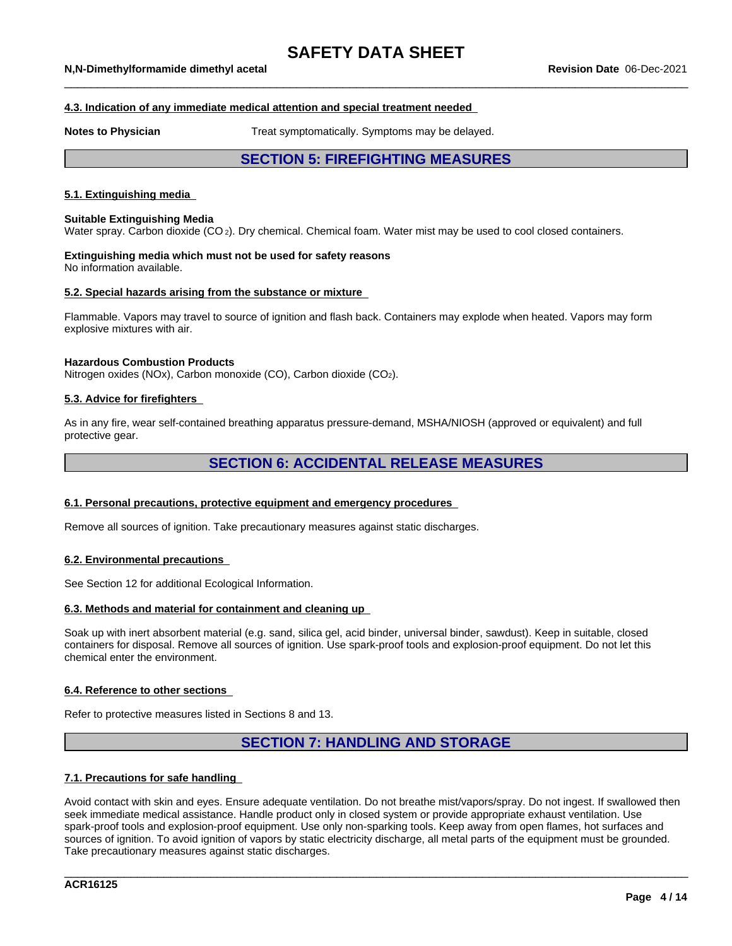## **4.3. Indication of any immediate medical attention and special treatment needed**

**Notes to Physician** Treat symptomatically. Symptoms may be delayed.

## **SECTION 5: FIREFIGHTING MEASURES**

## **5.1. Extinguishing media**

#### **Suitable Extinguishing Media**

Water spray. Carbon dioxide (CO<sub>2</sub>). Dry chemical. Chemical foam. Water mist may be used to cool closed containers.

#### **Extinguishing media which must not be used for safety reasons** No information available.

#### **5.2. Special hazards arising from the substance or mixture**

Flammable. Vapors may travel to source of ignition and flash back. Containers may explode when heated. Vapors may form explosive mixtures with air.

#### **Hazardous Combustion Products**

Nitrogen oxides (NOx), Carbon monoxide (CO), Carbon dioxide (CO2).

## **5.3. Advice for firefighters**

As in any fire, wear self-contained breathing apparatus pressure-demand, MSHA/NIOSH (approved or equivalent) and full protective gear.

## **SECTION 6: ACCIDENTAL RELEASE MEASURES**

## **6.1. Personal precautions, protective equipment and emergency procedures**

Remove all sources of ignition. Take precautionary measures against static discharges.

#### **6.2. Environmental precautions**

See Section 12 for additional Ecological Information.

## **6.3. Methods and material for containment and cleaning up**

Soak up with inert absorbent material (e.g. sand, silica gel, acid binder, universal binder, sawdust). Keep in suitable, closed containers for disposal. Remove all sources of ignition. Use spark-proof tools and explosion-proof equipment. Do not let this chemical enter the environment.

### **6.4. Reference to other sections**

Refer to protective measures listed in Sections 8 and 13.

## **SECTION 7: HANDLING AND STORAGE**

## **7.1. Precautions for safe handling**

Avoid contact with skin and eyes. Ensure adequate ventilation. Do not breathe mist/vapors/spray. Do not ingest. If swallowed then seek immediate medical assistance. Handle product only in closed system or provide appropriate exhaust ventilation. Use spark-proof tools and explosion-proof equipment. Use only non-sparking tools. Keep away from open flames, hot surfaces and sources of ignition. To avoid ignition of vapors by static electricity discharge, all metal parts of the equipment must be grounded. Take precautionary measures against static discharges.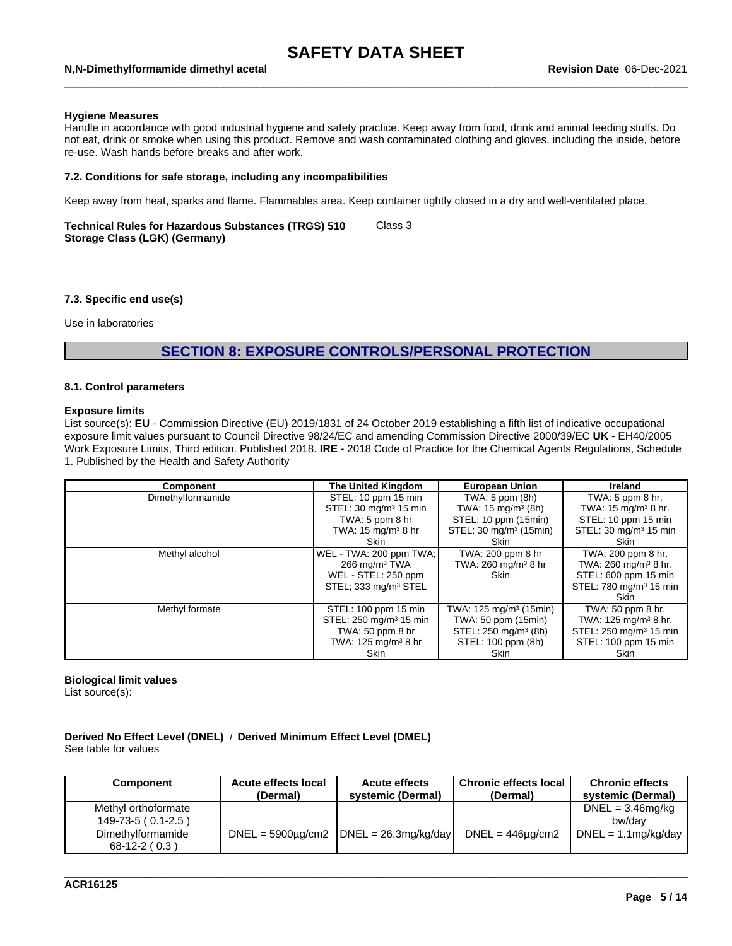#### \_\_\_\_\_\_\_\_\_\_\_\_\_\_\_\_\_\_\_\_\_\_\_\_\_\_\_\_\_\_\_\_\_\_\_\_\_\_\_\_\_\_\_\_\_\_\_\_\_\_\_\_\_\_\_\_\_\_\_\_\_\_\_\_\_\_\_\_\_\_\_\_\_\_\_\_\_\_\_\_\_\_\_\_\_\_\_\_\_\_\_\_\_\_ **N,N-Dimethylformamide dimethyl acetal Revision Date** 06-Dec-2021

#### **Hygiene Measures**

Handle in accordance with good industrial hygiene and safety practice. Keep away from food, drink and animal feeding stuffs. Do not eat, drink or smoke when using this product. Remove and wash contaminated clothing and gloves, including the inside, before re-use. Wash hands before breaks and after work.

## **7.2. Conditions for safe storage, including any incompatibilities**

Keep away from heat, sparks and flame. Flammables area. Keep container tightly closed in a dry and well-ventilated place.

#### **Technical Rules for Hazardous Substances (TRGS) 510 Storage Class (LGK) (Germany)** Class 3

#### **7.3. Specific end use(s)**

Use in laboratories

## **SECTION 8: EXPOSURE CONTROLS/PERSONAL PROTECTION**

## **8.1. Control parameters**

## **Exposure limits**

List source(s): **EU** - Commission Directive (EU) 2019/1831 of 24 October 2019 establishing a fifth list ofindicative occupational exposure limit values pursuant to Council Directive 98/24/EC and amending Commission Directive 2000/39/EC UK - EH40/2005 Work Exposure Limits, Third edition. Published 2018. **IRE -** 2018 Code of Practice for the Chemical Agents Regulations, Schedule 1. Published by the Health and Safety Authority

| Component         | The United Kingdom                     | <b>European Union</b>              | <b>Ireland</b>                           |
|-------------------|----------------------------------------|------------------------------------|------------------------------------------|
| Dimethylformamide | STEL: 10 ppm 15 min                    | TWA: $5$ ppm $(8h)$                | TWA: $5$ ppm $8$ hr.                     |
|                   | STEL: 30 mg/m <sup>3</sup> 15 min      | TWA: $15 \text{ mg/m}^3$ (8h)      | TWA: $15 \text{ mg/m}^3$ 8 hr.           |
|                   | TWA: $5$ ppm $8$ hr                    | STEL: 10 ppm (15min)               | STEL: 10 ppm 15 min                      |
|                   | TWA: $15 \text{ mg/m}^3$ 8 hr          | STEL: 30 mg/m <sup>3</sup> (15min) | STEL: 30 mg/m <sup>3</sup> 15 min        |
|                   | Skin                                   | Skin                               | Skin                                     |
| Methyl alcohol    | WEL - TWA: 200 ppm TWA;                | TWA: 200 ppm 8 hr                  | TWA: 200 ppm 8 hr.                       |
|                   | 266 mg/m $3$ TWA                       | TWA: $260 \text{ mg/m}^3$ 8 hr     | TWA: $260 \text{ mg/m}^3$ 8 hr.          |
|                   | WEL - STEL: 250 ppm                    | Skin                               | STEL: 600 ppm 15 min                     |
|                   | STEL; 333 mg/m <sup>3</sup> STEL       |                                    | STEL: 780 mg/m <sup>3</sup> 15 min       |
|                   |                                        |                                    | Skin                                     |
| Methyl formate    | STEL: 100 ppm 15 min                   | TWA: 125 mg/m <sup>3</sup> (15min) | TWA: 50 ppm 8 hr.                        |
|                   | STEL: 250 mg/m <sup>3</sup> 15 min     | TWA: 50 ppm (15min)                | TWA: $125 \text{ mg/m}^3 8 \text{ hr}$ . |
|                   | TWA: 50 ppm 8 hr                       | STEL: 250 mg/m <sup>3</sup> (8h)   | STEL: 250 mg/m <sup>3</sup> 15 min       |
|                   | TWA: $125 \text{ mg/m}^3 8 \text{ hr}$ | STEL: 100 ppm (8h)                 | STEL: 100 ppm 15 min                     |
|                   | <b>Skin</b>                            | Skin                               | <b>Skin</b>                              |

## **Biological limit values**

List source(s):

### **Derived No Effect Level (DNEL)** / **Derived Minimum Effect Level (DMEL)** See table for values

| Component           | Acute effects local<br>(Dermal) | <b>Acute effects</b><br>systemic (Dermal)         | <b>Chronic effects local</b><br>(Dermal) | <b>Chronic effects</b><br>systemic (Dermal) |
|---------------------|---------------------------------|---------------------------------------------------|------------------------------------------|---------------------------------------------|
| Methyl orthoformate |                                 |                                                   |                                          | $DNEL = 3.46mg/kg$                          |
| $149-73-5(0.1-2.5)$ |                                 |                                                   |                                          | bw/dav                                      |
| Dimethylformamide   |                                 | $DNEL = 5900\mu q/cm2$ $ DNEL = 26.3\mu q/kg/day$ | $DNEL = 446 \mu g/cm2$                   | $DNEL = 1.1mg/kg/day$                       |
| $68-12-2(0.3)$      |                                 |                                                   |                                          |                                             |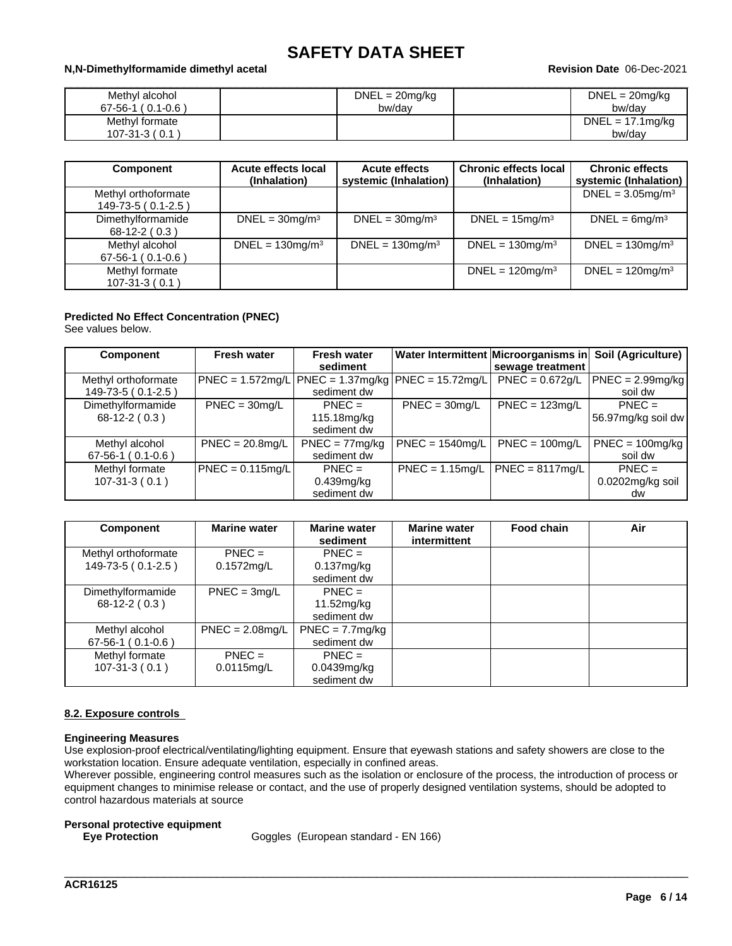## \_\_\_\_\_\_\_\_\_\_\_\_\_\_\_\_\_\_\_\_\_\_\_\_\_\_\_\_\_\_\_\_\_\_\_\_\_\_\_\_\_\_\_\_\_\_\_\_\_\_\_\_\_\_\_\_\_\_\_\_\_\_\_\_\_\_\_\_\_\_\_\_\_\_\_\_\_\_\_\_\_\_\_\_\_\_\_\_\_\_\_\_\_\_ **N,N-Dimethylformamide dimethyl acetal Revision Date** 06-Dec-2021

| Methyl alcohol<br>$(0.1 - 0.6)$<br>$67 - 56 - 1$ ( | $DNEL = 20mg/kg$<br>bw/day | DNEL<br>. = 20mg/kg<br>bw/dav |
|----------------------------------------------------|----------------------------|-------------------------------|
| Methyl formate<br>$107-31-3(0.1)$                  |                            | $DNEL = 17.1mg/kg$<br>bw/day  |

| <b>Component</b>                          | Acute effects local<br>(Inhalation) | <b>Acute effects</b><br>systemic (Inhalation) | <b>Chronic effects local</b><br>(Inhalation) | <b>Chronic effects</b><br>systemic (Inhalation) |
|-------------------------------------------|-------------------------------------|-----------------------------------------------|----------------------------------------------|-------------------------------------------------|
| Methyl orthoformate<br>149-73-5 (0.1-2.5) |                                     |                                               |                                              | DNEL = $3.05$ mg/m <sup>3</sup>                 |
| Dimethylformamide<br>$68-12-2(0.3)$       | $DNEL = 30mg/m3$                    | $DNEL = 30mg/m3$                              | $DNEL = 15mg/m3$                             | $DNEL = 6mg/m3$                                 |
| Methyl alcohol<br>$67-56-1$ (0.1-0.6)     | $DNEL = 130mg/m3$                   | $DNEL = 130mg/m3$                             | $DNEL = 130mg/m3$                            | $DNEL = 130mg/m3$                               |
| Methyl formate<br>$107-31-3(0.1)$         |                                     |                                               | DNEL = $120$ mg/m <sup>3</sup>               | $DNEL = 120mg/m3$                               |

## **Predicted No Effect Concentration (PNEC)**

See values below.

| <b>Component</b>    | <b>Fresh water</b> | <b>Fresh water</b>                                     |                   | Water Intermittent Microorganisms in | Soil (Agriculture)   |
|---------------------|--------------------|--------------------------------------------------------|-------------------|--------------------------------------|----------------------|
|                     |                    | sediment                                               |                   | sewage treatment                     |                      |
| Methyl orthoformate |                    | $ PNEC = 1.572mg/L PNEC = 1.37mg/kg PNEC = 15.72mg/L $ |                   | $PNEC = 0.672g/L$                    | $ PNEC = 2.99mg/kg $ |
| $149-73-5(0.1-2.5)$ |                    | sediment dw                                            |                   |                                      | soil dw              |
| Dimethylformamide   | $PNEC = 30mg/L$    | $PNEC =$                                               | $PNEC = 30mg/L$   | $PNEC = 123mg/L$                     | $PNEC =$             |
| $68-12-2(0.3)$      |                    | 115.18mg/kg                                            |                   |                                      | 56.97mg/kg soil dw   |
|                     |                    | sediment dw                                            |                   |                                      |                      |
| Methyl alcohol      | $PNEC = 20.8$ mg/L | $PNEC = 77mg/kg$                                       | $PNEC = 1540mg/L$ | $PNEC = 100$ mg/L                    | $PNEC = 100mg/kg$    |
| $67-56-1$ (0.1-0.6) |                    | sediment dw                                            |                   |                                      | soil dw              |
| Methyl formate      | $PNEC = 0.115mg/L$ | $PNEC =$                                               |                   | $PNEC = 1.15$ mg/L   PNEC = 8117mg/L | $PNEC =$             |
| $107-31-3(0.1)$     |                    | $0.439$ mg/kg                                          |                   |                                      | 0.0202mg/kg soil     |
|                     |                    | sediment dw                                            |                   |                                      | dw                   |

| <b>Component</b>    | <b>Marine water</b> | <b>Marine water</b><br>sediment | <b>Marine water</b><br>intermittent | <b>Food chain</b> | Air |
|---------------------|---------------------|---------------------------------|-------------------------------------|-------------------|-----|
| Methyl orthoformate | $PNFC =$            | $PNEC =$                        |                                     |                   |     |
| 149-73-5 (0.1-2.5)  | $0.1572$ mg/L       | 0.137mg/kg                      |                                     |                   |     |
|                     |                     | sediment dw                     |                                     |                   |     |
| Dimethylformamide   | $PNEC = 3mg/L$      | $PNEC =$                        |                                     |                   |     |
| $68-12-2(0.3)$      |                     | 11.52mg/kg                      |                                     |                   |     |
|                     |                     | sediment dw                     |                                     |                   |     |
| Methyl alcohol      | $PNEC = 2.08$ mg/L  | $PNEC = 7.7mg/kg$               |                                     |                   |     |
| $67-56-1$ (0.1-0.6) |                     | sediment dw                     |                                     |                   |     |
| Methyl formate      | $PNEC =$            | $PNFC =$                        |                                     |                   |     |
| $107-31-3(0.1)$     | $0.0115$ mg/L       | $0.0439$ mg/kg                  |                                     |                   |     |
|                     |                     | sediment dw                     |                                     |                   |     |

## **8.2. Exposure controls**

## **Engineering Measures**

Use explosion-proof electrical/ventilating/lighting equipment. Ensure that eyewash stations and safety showers are close to the workstation location. Ensure adequate ventilation, especially in confined areas.

Wherever possible, engineering control measures such as the isolation or enclosure of the process, the introduction of process or equipment changes to minimise release or contact, and the use of properly designed ventilation systems, should be adopted to control hazardous materials at source

\_\_\_\_\_\_\_\_\_\_\_\_\_\_\_\_\_\_\_\_\_\_\_\_\_\_\_\_\_\_\_\_\_\_\_\_\_\_\_\_\_\_\_\_\_\_\_\_\_\_\_\_\_\_\_\_\_\_\_\_\_\_\_\_\_\_\_\_\_\_\_\_\_\_\_\_\_\_\_\_\_\_\_\_\_\_\_\_\_\_\_\_\_\_

# **Personal protective equipment**

Goggles (European standard - EN 166)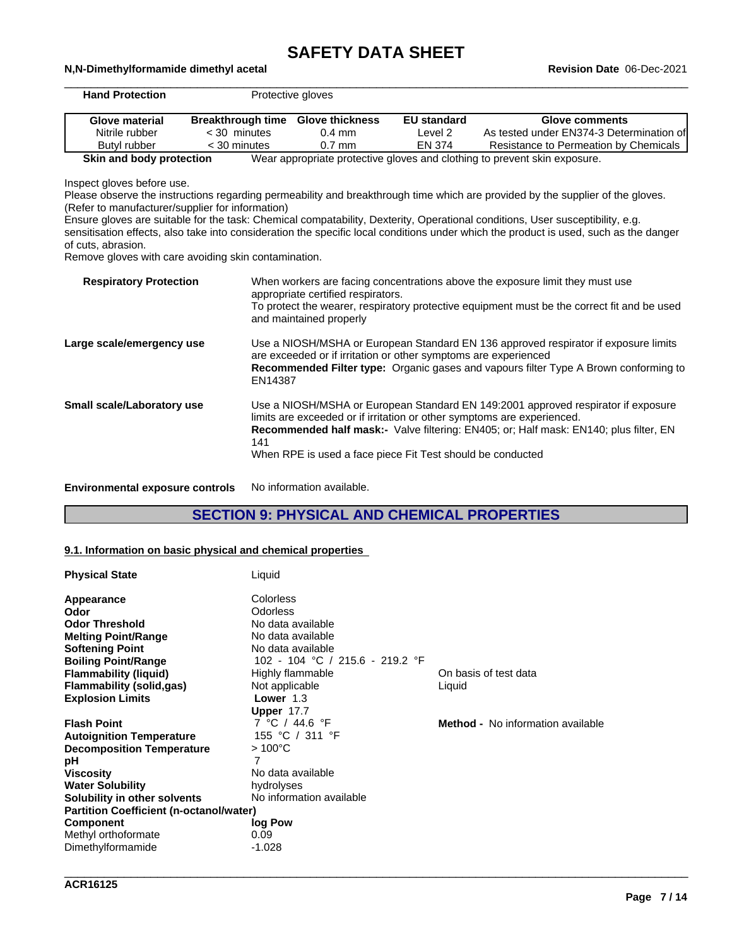# **SAFETY DATA SHEET**<br>Revision Date 06-Dec-2021

| <b>Hand Protection</b>                                                                               |                                                      | Protective gloves                                               |                    |                                                                                                                                                                                                                                                                                                                                                                                                          |
|------------------------------------------------------------------------------------------------------|------------------------------------------------------|-----------------------------------------------------------------|--------------------|----------------------------------------------------------------------------------------------------------------------------------------------------------------------------------------------------------------------------------------------------------------------------------------------------------------------------------------------------------------------------------------------------------|
| <b>Glove material</b>                                                                                | <b>Breakthrough time</b>                             | <b>Glove thickness</b>                                          | <b>EU standard</b> | <b>Glove comments</b>                                                                                                                                                                                                                                                                                                                                                                                    |
| Nitrile rubber                                                                                       | $<$ 30 minutes                                       | $0.4$ mm                                                        | Level <sub>2</sub> | As tested under EN374-3 Determination of                                                                                                                                                                                                                                                                                                                                                                 |
| Butyl rubber                                                                                         | < 30 minutes                                         | $0.7$ mm                                                        | <b>EN 374</b>      | Resistance to Permeation by Chemicals                                                                                                                                                                                                                                                                                                                                                                    |
| Skin and body protection                                                                             |                                                      |                                                                 |                    | Wear appropriate protective gloves and clothing to prevent skin exposure.                                                                                                                                                                                                                                                                                                                                |
| Inspect gloves before use.<br>(Refer to manufacturer/supplier for information)<br>of cuts, abrasion. | Remove gloves with care avoiding skin contamination. |                                                                 |                    | Please observe the instructions regarding permeability and breakthrough time which are provided by the supplier of the gloves.<br>Ensure gloves are suitable for the task: Chemical compatability, Dexterity, Operational conditions, User susceptibility, e.g.<br>sensitisation effects, also take into consideration the specific local conditions under which the product is used, such as the danger |
| <b>Respiratory Protection</b>                                                                        |                                                      | appropriate certified respirators.<br>and maintained properly   |                    | When workers are facing concentrations above the exposure limit they must use<br>To protect the wearer, respiratory protective equipment must be the correct fit and be used                                                                                                                                                                                                                             |
| Large scale/emergency use                                                                            | EN14387                                              | are exceeded or if irritation or other symptoms are experienced |                    | Use a NIOSH/MSHA or European Standard EN 136 approved respirator if exposure limits<br>Recommended Filter type: Organic gases and vapours filter Type A Brown conforming to                                                                                                                                                                                                                              |
| Small scale/Laboratory use                                                                           | 141                                                  | When RPE is used a face piece Fit Test should be conducted      |                    | Use a NIOSH/MSHA or European Standard EN 149:2001 approved respirator if exposure<br>limits are exceeded or if irritation or other symptoms are experienced.<br>Recommended half mask:- Valve filtering: EN405; or; Half mask: EN140; plus filter, EN                                                                                                                                                    |

**Environmental exposure controls** No information available.

\_\_\_\_\_\_\_\_\_\_\_\_\_\_\_\_\_\_\_\_\_\_\_\_\_\_\_\_\_\_\_\_\_\_\_\_\_\_\_\_\_\_\_\_\_\_\_\_\_\_\_\_\_\_\_\_\_\_\_\_\_\_\_\_\_\_\_\_\_\_\_\_\_\_\_\_\_\_\_\_\_\_\_\_\_\_\_\_\_\_\_\_\_\_ **N,N-Dimethylformamide dimethyl acetal Revision Date** 06-Dec-2021

# **SECTION 9: PHYSICAL AND CHEMICAL PROPERTIES**

## **9.1. Information on basic physical and chemical properties**

| <b>Physical State</b>                          | Liquid                          |                                          |
|------------------------------------------------|---------------------------------|------------------------------------------|
| Appearance                                     | Colorless                       |                                          |
| Odor                                           | Odorless                        |                                          |
| <b>Odor Threshold</b>                          | No data available               |                                          |
| <b>Melting Point/Range</b>                     | No data available               |                                          |
| <b>Softening Point</b>                         | No data available               |                                          |
| <b>Boiling Point/Range</b>                     | 102 - 104 °C / 215.6 - 219.2 °F |                                          |
| <b>Flammability (liquid)</b>                   | Highly flammable                | On basis of test data                    |
| <b>Flammability (solid,gas)</b>                | Not applicable                  | Liquid                                   |
| <b>Explosion Limits</b>                        | Lower $1.3$                     |                                          |
|                                                | Upper 17.7                      |                                          |
| <b>Flash Point</b>                             | 7 °C / 44.6 °F                  | <b>Method -</b> No information available |
| <b>Autoignition Temperature</b>                | 155 °C / 311 °F                 |                                          |
| <b>Decomposition Temperature</b>               | $>100^{\circ}$ C                |                                          |
| рH                                             | 7                               |                                          |
| <b>Viscosity</b>                               | No data available               |                                          |
| <b>Water Solubility</b>                        | hydrolyses                      |                                          |
| Solubility in other solvents                   | No information available        |                                          |
| <b>Partition Coefficient (n-octanol/water)</b> |                                 |                                          |
| <b>Component</b>                               | log Pow                         |                                          |
| Methyl orthoformate                            | 0.09                            |                                          |
| Dimethylformamide                              | $-1.028$                        |                                          |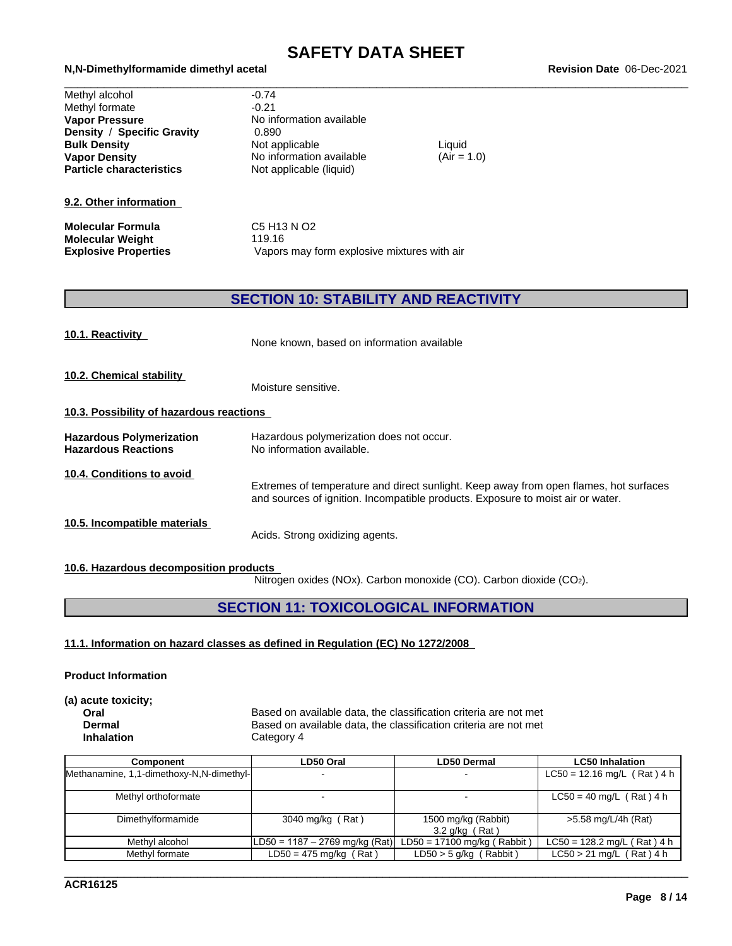# \_\_\_\_\_\_\_\_\_\_\_\_\_\_\_\_\_\_\_\_\_\_\_\_\_\_\_\_\_\_\_\_\_\_\_\_\_\_\_\_\_\_\_\_\_\_\_\_\_\_\_\_\_\_\_\_\_\_\_\_\_\_\_\_\_\_\_\_\_\_\_\_\_\_\_\_\_\_\_\_\_\_\_\_\_\_\_\_\_\_\_\_\_\_ **N,N-Dimethylformamide dimethyl acetal Revision Date** 06-Dec-2021

| Methyl alcohol                  | $-0.74$                  |
|---------------------------------|--------------------------|
| Methyl formate                  | $-0.21$                  |
| <b>Vapor Pressure</b>           | No information available |
| Density / Specific Gravity      | 0.890                    |
| <b>Bulk Density</b>             | Not applicable           |
| <b>Vapor Density</b>            | No information available |
| <b>Particle characteristics</b> | Not applicable (liquid)  |
|                                 |                          |

## **9.2. Other information**

**Molecular Formula** C5 H13 N O2 **Molecular Weight** 119.16<br> **Explosive Properties** Vapors

**Not applicable (liquid) No information available Bulk Density** Not applicable Liquid **No information available** 

 $(Air = 1.0)$ 

Vapors may form explosive mixtures with air

## **SECTION 10: STABILITY AND REACTIVITY**

| 10.1. Reactivity                                              | None known, based on information available                                                                                                                               |
|---------------------------------------------------------------|--------------------------------------------------------------------------------------------------------------------------------------------------------------------------|
| 10.2. Chemical stability                                      | Moisture sensitive.                                                                                                                                                      |
| 10.3. Possibility of hazardous reactions                      |                                                                                                                                                                          |
| <b>Hazardous Polymerization</b><br><b>Hazardous Reactions</b> | Hazardous polymerization does not occur.<br>No information available.                                                                                                    |
| 10.4. Conditions to avoid                                     | Extremes of temperature and direct sunlight. Keep away from open flames, hot surfaces<br>and sources of ignition. Incompatible products. Exposure to moist air or water. |
| 10.5. Incompatible materials                                  | Acids. Strong oxidizing agents.                                                                                                                                          |
| 10.6. Hazardous decomposition products                        |                                                                                                                                                                          |

Nitrogen oxides (NOx). Carbon monoxide (CO). Carbon dioxide (CO2).

\_\_\_\_\_\_\_\_\_\_\_\_\_\_\_\_\_\_\_\_\_\_\_\_\_\_\_\_\_\_\_\_\_\_\_\_\_\_\_\_\_\_\_\_\_\_\_\_\_\_\_\_\_\_\_\_\_\_\_\_\_\_\_\_\_\_\_\_\_\_\_\_\_\_\_\_\_\_\_\_\_\_\_\_\_\_\_\_\_\_\_\_\_\_

## **SECTION 11: TOXICOLOGICAL INFORMATION**

## **11.1. Information on hazard classes as defined in Regulation (EC) No 1272/2008**

## **Product Information**

**(a) acute toxicity;**

**Oral** Based on available data, the classification criteria are not met **Dermal** Based on available data, the classification criteria are not met **Inhalation** Category 4

| Component                                | LD50 Oral                      | <b>LD50 Dermal</b>            | <b>LC50 Inhalation</b>        |
|------------------------------------------|--------------------------------|-------------------------------|-------------------------------|
| Methanamine, 1,1-dimethoxy-N,N-dimethyl- |                                | $\sim$                        | $LC50 = 12.16$ mg/L (Rat) 4 h |
|                                          |                                |                               |                               |
| Methyl orthoformate                      |                                |                               | $LC50 = 40$ mg/L (Rat) 4 h    |
|                                          |                                |                               |                               |
| Dimethylformamide                        | 3040 mg/kg (Rat)               | 1500 mg/kg (Rabbit)           | >5.58 mg/L/4h (Rat)           |
|                                          |                                | $3.2$ g/kg (Rat)              |                               |
| Methyl alcohol                           | LD50 = 1187 – 2769 mg/kg (Rat) | $LD50 = 17100$ mg/kg (Rabbit) | $LC50 = 128.2$ mg/L (Rat) 4 h |
| Methyl formate                           | $LD50 = 475$ mg/kg (Rat)       | $LD50 > 5$ g/kg (Rabbit)      | $LC50 > 21$ mg/L (Rat) 4 h    |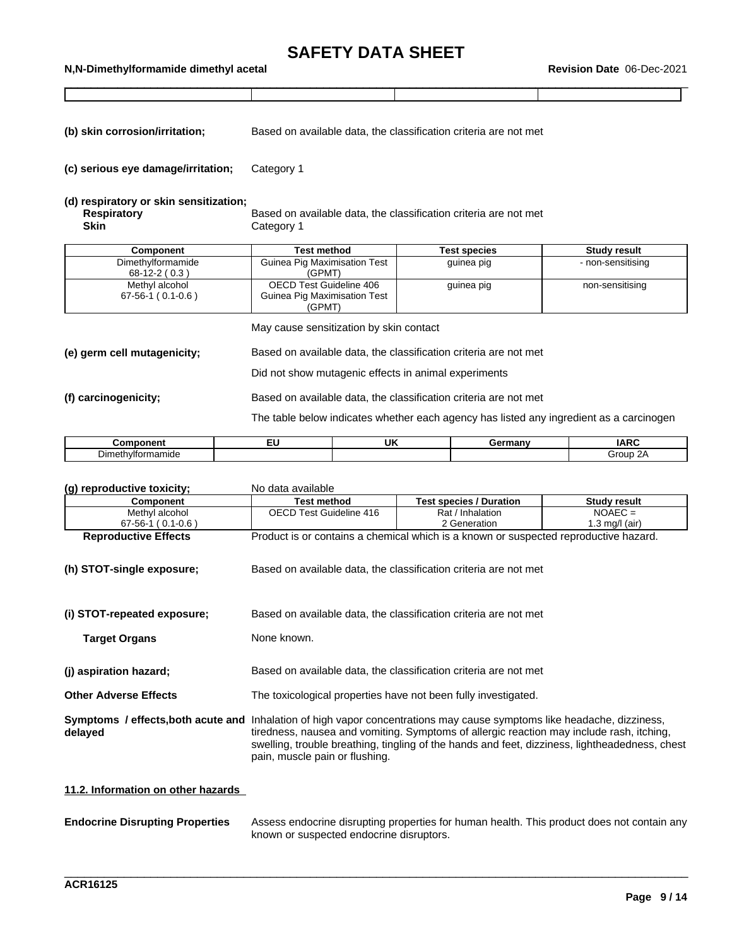\_\_\_\_\_\_\_\_\_\_\_\_\_\_\_\_\_\_\_\_\_\_\_\_\_\_\_\_\_\_\_\_\_\_\_\_\_\_\_\_\_\_\_\_\_\_\_\_\_\_\_\_\_\_\_\_\_\_\_\_\_\_\_\_\_\_\_\_\_\_\_\_\_\_\_\_\_\_\_\_\_\_\_\_\_\_\_\_\_\_\_\_\_\_ **N,N-Dimethylformamide dimethyl acetal Revision Date** 06-Dec-2021

**(b) skin corrosion/irritation;** Based on available data, the classification criteria are not met

**(c) serious eye damage/irritation;** Category 1

## **(d) respiratory or skin sensitization;**

**Respiratory Based on available data, the classification criteria are not met Skin** Category 1

| <b>Component</b>    | Test method                  | <b>Test species</b> | <b>Study result</b> |
|---------------------|------------------------------|---------------------|---------------------|
| Dimethylformamide   | Guinea Pig Maximisation Test | guinea pig          | - non-sensitising   |
| $68-12-2(0.3)$      | (GPMT)                       |                     |                     |
| Methyl alcohol      | OECD Test Guideline 406      | guinea pig          | non-sensitising     |
| $67-56-1$ (0.1-0.6) | Guinea Pig Maximisation Test |                     |                     |
|                     | (GPMT)                       |                     |                     |

May cause sensitization by skin contact

**(e) germ cell mutagenicity;** Based on available data, the classification criteria are not met

Did not show mutagenic effects in animal experiments

**(f) carcinogenicity;** Based on available data, the classification criteria are not met

The table below indicates whether each agency has listed any ingredient as a carcinogen

| `omponent         | - | UK | `≏rmanv<br>. | 18 <sub>D</sub> C<br>וגו |
|-------------------|---|----|--------------|--------------------------|
| Dimethylformamide |   |    |              | Group<br>. 2A            |

| (g) reproductive toxicity;                    | No data available                                              |                                                                                                                                                                                                                                                                                    |                     |  |  |
|-----------------------------------------------|----------------------------------------------------------------|------------------------------------------------------------------------------------------------------------------------------------------------------------------------------------------------------------------------------------------------------------------------------------|---------------------|--|--|
| Component                                     | <b>Test method</b>                                             | <b>Test species / Duration</b>                                                                                                                                                                                                                                                     | <b>Study result</b> |  |  |
| Methyl alcohol                                | OECD Test Guideline 416                                        | Rat / Inhalation                                                                                                                                                                                                                                                                   | $NOAEC =$           |  |  |
| $67-56-1$ (0.1-0.6)                           |                                                                | 2 Generation                                                                                                                                                                                                                                                                       | 1.3 mg/l (air)      |  |  |
| <b>Reproductive Effects</b>                   |                                                                | Product is or contains a chemical which is a known or suspected reproductive hazard.                                                                                                                                                                                               |                     |  |  |
| (h) STOT-single exposure;                     |                                                                | Based on available data, the classification criteria are not met                                                                                                                                                                                                                   |                     |  |  |
| (i) STOT-repeated exposure;                   |                                                                | Based on available data, the classification criteria are not met                                                                                                                                                                                                                   |                     |  |  |
| <b>Target Organs</b>                          | None known.                                                    |                                                                                                                                                                                                                                                                                    |                     |  |  |
| (i) aspiration hazard;                        |                                                                | Based on available data, the classification criteria are not met                                                                                                                                                                                                                   |                     |  |  |
| <b>Other Adverse Effects</b>                  | The toxicological properties have not been fully investigated. |                                                                                                                                                                                                                                                                                    |                     |  |  |
| Symptoms / effects, both acute and<br>delayed | pain, muscle pain or flushing.                                 | Inhalation of high vapor concentrations may cause symptoms like headache, dizziness,<br>tiredness, nausea and vomiting. Symptoms of allergic reaction may include rash, itching,<br>swelling, trouble breathing, tingling of the hands and feet, dizziness, lightheadedness, chest |                     |  |  |
|                                               |                                                                |                                                                                                                                                                                                                                                                                    |                     |  |  |

## **11.2. Information on other hazards**

| <b>Endocrine Disrupting Properties</b> | Assess endocrine disrupting properties for human health. This product does not contain any |
|----------------------------------------|--------------------------------------------------------------------------------------------|
|                                        | known or suspected endocrine disruptors.                                                   |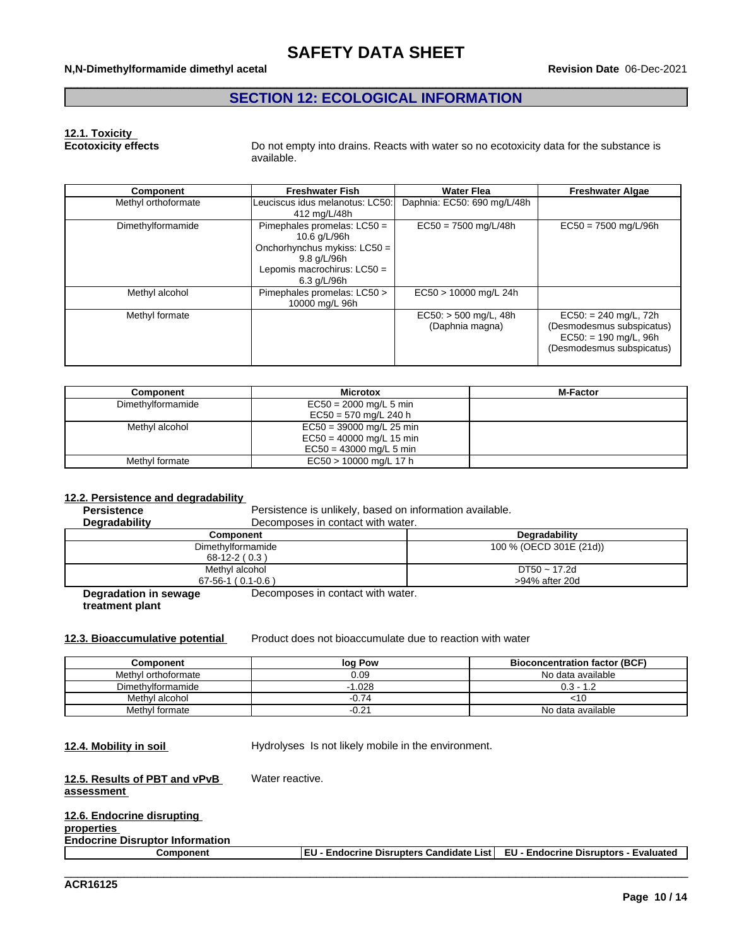## **SECTION 12: ECOLOGICAL INFORMATION**

# **12.1. Toxicity**

**Ecotoxicity effects** Do not empty into drains. Reacts with water so no ecotoxicity data for the substance is available.

| Component           | <b>Freshwater Fish</b>                                                                                                                       | <b>Water Flea</b>                          | <b>Freshwater Algae</b>                                                                                      |
|---------------------|----------------------------------------------------------------------------------------------------------------------------------------------|--------------------------------------------|--------------------------------------------------------------------------------------------------------------|
| Methyl orthoformate | Leuciscus idus melanotus: LC50:<br>412 mg/L/48h                                                                                              | Daphnia: EC50: 690 mg/L/48h                |                                                                                                              |
| Dimethylformamide   | Pimephales promelas: $LC50 =$<br>10.6 g/L/96h<br>Onchorhynchus mykiss: LC50 =<br>9.8 g/L/96h<br>Lepomis macrochirus: $LC50 =$<br>6.3 g/L/96h | $EC50 = 7500$ mg/L/48h                     |                                                                                                              |
| Methyl alcohol      | Pimephales promelas: LC50 ><br>10000 mg/L 96h                                                                                                | EC50 > 10000 mg/L 24h                      |                                                                                                              |
| Methyl formate      |                                                                                                                                              | $EC50:$ > 500 mg/L, 48h<br>(Daphnia magna) | $EC50: = 240$ mg/L, 72h<br>(Desmodesmus subspicatus)<br>$EC50: = 190$ mg/L, 96h<br>(Desmodesmus subspicatus) |

| <b>Component</b>  | <b>Microtox</b>            | <b>M-Factor</b> |
|-------------------|----------------------------|-----------------|
| Dimethylformamide | $EC50 = 2000$ mg/L 5 min   |                 |
|                   | $EC50 = 570$ mg/L 240 h    |                 |
| Methyl alcohol    | $EC50 = 39000$ mg/L 25 min |                 |
|                   | $EC50 = 40000$ mg/L 15 min |                 |
|                   | $EC50 = 43000$ mg/L 5 min  |                 |
| Methyl formate    | EC50 > 10000 mg/L 17 h     |                 |

#### **12.2. Persistence and degradability**

| <b>Persistence</b>    | Persistence is unlikely, based on information available. |                         |  |  |  |  |  |  |
|-----------------------|----------------------------------------------------------|-------------------------|--|--|--|--|--|--|
| <b>Degradability</b>  | Decomposes in contact with water.                        |                         |  |  |  |  |  |  |
|                       | <b>Component</b>                                         | Degradability           |  |  |  |  |  |  |
|                       | Dimethylformamide                                        | 100 % (OECD 301E (21d)) |  |  |  |  |  |  |
|                       | $68-12-2(0.3)$                                           |                         |  |  |  |  |  |  |
|                       | Methyl alcohol                                           | $DT50 \sim 17.2d$       |  |  |  |  |  |  |
|                       | $67-56-1$ (0.1-0.6)                                      | >94% after 20d          |  |  |  |  |  |  |
| Degradation in sewage | Decomposes in contact with water.                        |                         |  |  |  |  |  |  |

**Degradation in sewage treatment plant**

**12.3. Bioaccumulative potential** Product does not bioaccumulate due to reaction with water

| Component           | log Pow  | <b>Bioconcentration factor (BCF)</b> |
|---------------------|----------|--------------------------------------|
| Methyl orthoformate | 0.09     | No data available                    |
| Dimethylformamide   | $-1.028$ | $0.3 - 1.2$                          |
| Methyl alcohol      | $-0.74$  | <⊺∪                                  |
| Methyl formate      | $-0.21$  | No data available                    |

**12.4. Mobility in soil Hydrolyses** Is not likely mobile in the environment.

#### **12.5. Results of PBT and vPvB assessment** Water reactive.

| 12.6. Endocrine disrupting             |                                                                                 |  |
|----------------------------------------|---------------------------------------------------------------------------------|--|
| properties                             |                                                                                 |  |
| <b>Endocrine Disruptor Information</b> |                                                                                 |  |
| Component                              | EU - Endocrine Disrupters Candidate List  EU - Endocrine Disruptors - Evaluated |  |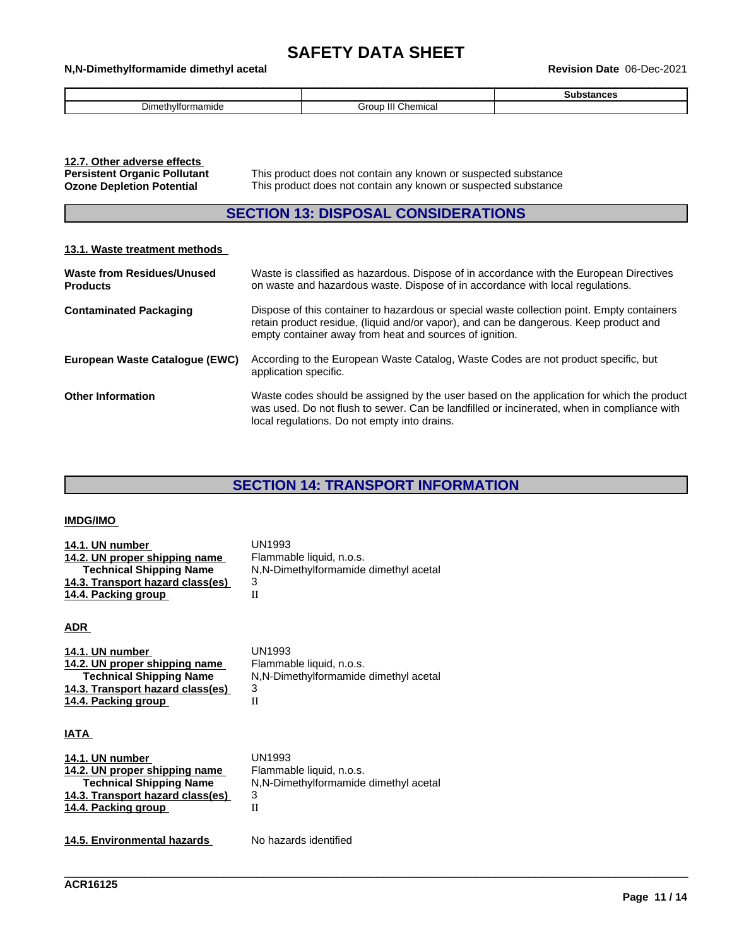## \_\_\_\_\_\_\_\_\_\_\_\_\_\_\_\_\_\_\_\_\_\_\_\_\_\_\_\_\_\_\_\_\_\_\_\_\_\_\_\_\_\_\_\_\_\_\_\_\_\_\_\_\_\_\_\_\_\_\_\_\_\_\_\_\_\_\_\_\_\_\_\_\_\_\_\_\_\_\_\_\_\_\_\_\_\_\_\_\_\_\_\_\_\_ **N,N-Dimethylformamide dimethyl acetal Revision Date** 06-Dec-2021

|                    |                                 | . |
|--------------------|---------------------------------|---|
| -<br>n۳س<br>mamıde | siron.<br>∶hemica<br><b>NIT</b> |   |

| 12.7. Other adverse effects         |              |
|-------------------------------------|--------------|
| <b>Persistent Organic Pollutant</b> | This product |
| <b>Ozone Depletion Potential</b>    | This product |

This product does not contain any known or suspected substance This product does not contain any known or suspected substance

## **SECTION 13: DISPOSAL CONSIDERATIONS**

## **13.1. Waste treatment methods**

| <b>Waste from Residues/Unused</b><br><b>Products</b> | Waste is classified as hazardous. Dispose of in accordance with the European Directives<br>on waste and hazardous waste. Dispose of in accordance with local regulations.                                                                      |
|------------------------------------------------------|------------------------------------------------------------------------------------------------------------------------------------------------------------------------------------------------------------------------------------------------|
| <b>Contaminated Packaging</b>                        | Dispose of this container to hazardous or special waste collection point. Empty containers<br>retain product residue, (liquid and/or vapor), and can be dangerous. Keep product and<br>empty container away from heat and sources of ignition. |
| European Waste Catalogue (EWC)                       | According to the European Waste Catalog, Waste Codes are not product specific, but<br>application specific.                                                                                                                                    |
| <b>Other Information</b>                             | Waste codes should be assigned by the user based on the application for which the product<br>was used. Do not flush to sewer. Can be landfilled or incinerated, when in compliance with<br>local regulations. Do not empty into drains.        |

## **SECTION 14: TRANSPORT INFORMATION**

\_\_\_\_\_\_\_\_\_\_\_\_\_\_\_\_\_\_\_\_\_\_\_\_\_\_\_\_\_\_\_\_\_\_\_\_\_\_\_\_\_\_\_\_\_\_\_\_\_\_\_\_\_\_\_\_\_\_\_\_\_\_\_\_\_\_\_\_\_\_\_\_\_\_\_\_\_\_\_\_\_\_\_\_\_\_\_\_\_\_\_\_\_\_

## **IMDG/IMO**

| 14.1. UN number<br>14.2. UN proper shipping name<br><b>Technical Shipping Name</b><br>14.3. Transport hazard class(es)<br>14.4. Packing group<br><b>ADR</b> | UN1993<br>Flammable liquid, n.o.s.<br>N, N-Dimethylformamide dimethyl acetal<br>3<br>Н |
|-------------------------------------------------------------------------------------------------------------------------------------------------------------|----------------------------------------------------------------------------------------|
| 14.1. UN number                                                                                                                                             | <b>UN1993</b>                                                                          |
| 14.2. UN proper shipping name                                                                                                                               | Flammable liquid, n.o.s.                                                               |
| <b>Technical Shipping Name</b>                                                                                                                              | N, N-Dimethylformamide dimethyl acetal                                                 |
| 14.3. Transport hazard class(es)                                                                                                                            | 3                                                                                      |

## **IATA**

| 14.1. UN number                  | UN1993                                |
|----------------------------------|---------------------------------------|
| 14.2. UN proper shipping name    | Flammable liquid, n.o.s.              |
| <b>Technical Shipping Name</b>   | N,N-Dimethylformamide dimethyl acetal |
| 14.3. Transport hazard class(es) | 3                                     |
| 14.4. Packing group              |                                       |
|                                  |                                       |

**14.5. Environmental hazards** No hazards identified

**14.4. Packing group** II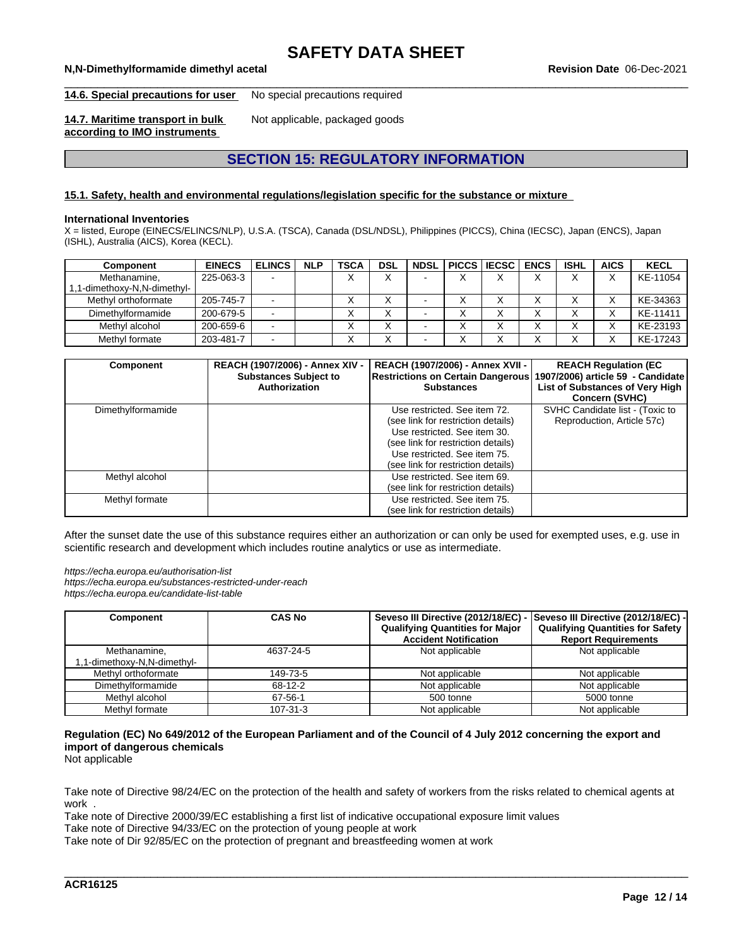#### \_\_\_\_\_\_\_\_\_\_\_\_\_\_\_\_\_\_\_\_\_\_\_\_\_\_\_\_\_\_\_\_\_\_\_\_\_\_\_\_\_\_\_\_\_\_\_\_\_\_\_\_\_\_\_\_\_\_\_\_\_\_\_\_\_\_\_\_\_\_\_\_\_\_\_\_\_\_\_\_\_\_\_\_\_\_\_\_\_\_\_\_\_\_ **N,N-Dimethylformamide dimethyl acetal Revision Date** 06-Dec-2021

**14.6. Special precautions for user** No special precautions required

**14.7. Maritime transport in bulk according to IMO instruments**

Not applicable, packaged goods

# **SECTION 15: REGULATORY INFORMATION**

## **15.1. Safety, health and environmental regulations/legislation specific for the substance or mixture**

#### **International Inventories**

X = listed, Europe (EINECS/ELINCS/NLP), U.S.A. (TSCA), Canada (DSL/NDSL), Philippines (PICCS), China (IECSC), Japan (ENCS), Japan (ISHL), Australia (AICS), Korea (KECL).

| Component                 | <b>EINECS</b> | <b>ELINCS</b> | <b>NLP</b> | <b>TSCA</b> | <b>DSL</b> |  | <b>NDSL PICCS LIECSC</b> | <b>ENCS</b> | <b>ISHL</b> | <b>AICS</b> | <b>KECL</b> |
|---------------------------|---------------|---------------|------------|-------------|------------|--|--------------------------|-------------|-------------|-------------|-------------|
| Methanamine,              | 225-063-3     |               |            |             | $\cdot$    |  |                          |             |             |             | KE-11054    |
| 1-dimethoxy-N,N-dimethyl- |               |               |            |             |            |  |                          |             |             |             |             |
| Methyl orthoformate       | 205-745-7     |               |            |             |            |  |                          |             |             |             | KE-34363    |
| Dimethylformamide         | 200-679-5     |               |            |             |            |  |                          |             |             |             | KE-11411    |
| Methyl alcohol            | 200-659-6     |               |            |             |            |  |                          |             |             |             | KE-23193    |
| Methyl formate            | 203-481-7     |               |            |             | ⌒          |  |                          |             |             |             | KE-17243    |

| <b>Component</b>  | REACH (1907/2006) - Annex XIV -<br><b>Substances Subject to</b><br>Authorization | REACH (1907/2006) - Annex XVII -<br>Restrictions on Certain Dangerous 1907/2006) article 59 - Candidate<br><b>Substances</b>                                                                                   | <b>REACH Regulation (EC)</b><br>List of Substances of Very High<br><b>Concern (SVHC)</b> |
|-------------------|----------------------------------------------------------------------------------|----------------------------------------------------------------------------------------------------------------------------------------------------------------------------------------------------------------|------------------------------------------------------------------------------------------|
| Dimethylformamide |                                                                                  | Use restricted. See item 72.<br>(see link for restriction details)<br>Use restricted. See item 30.<br>(see link for restriction details)<br>Use restricted. See item 75.<br>(see link for restriction details) | SVHC Candidate list - (Toxic to<br>Reproduction, Article 57c)                            |
| Methyl alcohol    |                                                                                  | Use restricted. See item 69.<br>(see link for restriction details)                                                                                                                                             |                                                                                          |
| Methyl formate    |                                                                                  | Use restricted. See item 75.<br>(see link for restriction details)                                                                                                                                             |                                                                                          |

After the sunset date the use of this substance requires either an authorization or can only be used for exempted uses, e.g. use in scientific research and development which includes routine analytics or use as intermediate.

*https://echa.europa.eu/authorisation-list https://echa.europa.eu/substances-restricted-under-reach https://echa.europa.eu/candidate-list-table*

| Component                  | <b>CAS No</b> | Seveso III Directive (2012/18/EC) -<br><b>Qualifying Quantities for Major</b><br><b>Accident Notification</b> | Seveso III Directive (2012/18/EC) -<br><b>Qualifying Quantities for Safety</b><br><b>Report Requirements</b> |
|----------------------------|---------------|---------------------------------------------------------------------------------------------------------------|--------------------------------------------------------------------------------------------------------------|
| Methanamine.               | 4637-24-5     | Not applicable                                                                                                | Not applicable                                                                                               |
| -1-dimethoxy-N,N-dimethyl. |               |                                                                                                               |                                                                                                              |
| Methyl orthoformate        | 149-73-5      | Not applicable                                                                                                | Not applicable                                                                                               |
| Dimethylformamide          | 68-12-2       | Not applicable                                                                                                | Not applicable                                                                                               |
| Methyl alcohol             | 67-56-1       | 500 tonne                                                                                                     | 5000 tonne                                                                                                   |
| Methyl formate             | 107-31-3      | Not applicable                                                                                                | Not applicable                                                                                               |

## Regulation (EC) No 649/2012 of the European Parliament and of the Council of 4 July 2012 concerning the export and **import of dangerous chemicals**

Not applicable

Take note of Directive 98/24/EC on the protection of the health and safety of workers from the risks related to chemical agents at work .

\_\_\_\_\_\_\_\_\_\_\_\_\_\_\_\_\_\_\_\_\_\_\_\_\_\_\_\_\_\_\_\_\_\_\_\_\_\_\_\_\_\_\_\_\_\_\_\_\_\_\_\_\_\_\_\_\_\_\_\_\_\_\_\_\_\_\_\_\_\_\_\_\_\_\_\_\_\_\_\_\_\_\_\_\_\_\_\_\_\_\_\_\_\_

Take note of Directive 2000/39/EC establishing a first list of indicative occupational exposure limit values

Take note of Directive 94/33/EC on the protection of young people at work

Take note of Dir 92/85/EC on the protection of pregnant and breastfeeding women at work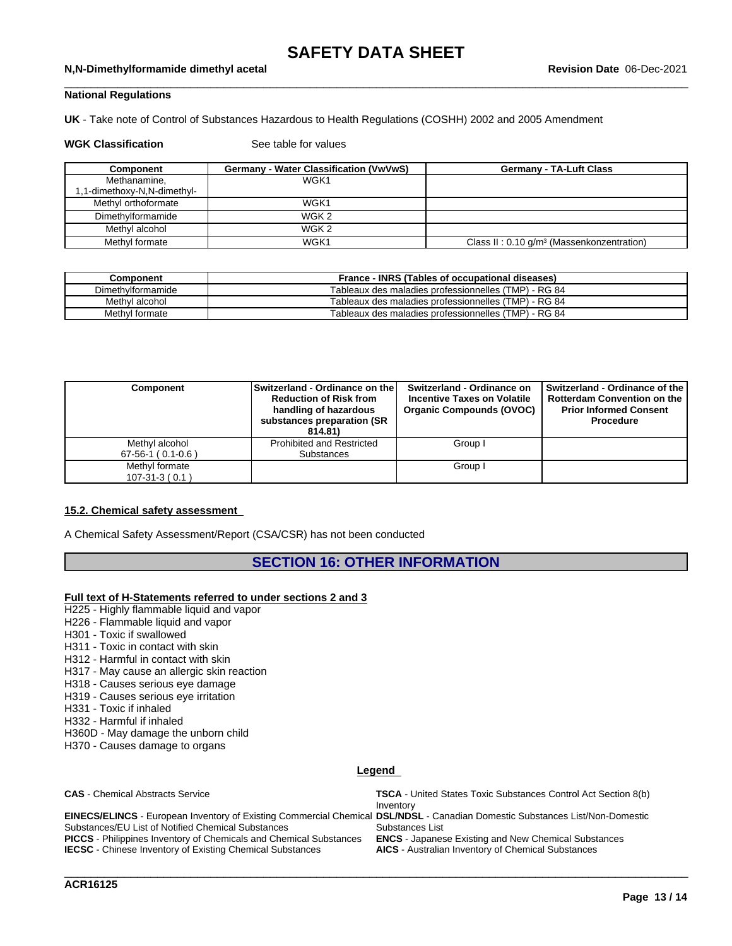#### \_\_\_\_\_\_\_\_\_\_\_\_\_\_\_\_\_\_\_\_\_\_\_\_\_\_\_\_\_\_\_\_\_\_\_\_\_\_\_\_\_\_\_\_\_\_\_\_\_\_\_\_\_\_\_\_\_\_\_\_\_\_\_\_\_\_\_\_\_\_\_\_\_\_\_\_\_\_\_\_\_\_\_\_\_\_\_\_\_\_\_\_\_\_ **N,N-Dimethylformamide dimethyl acetal Revision Date** 06-Dec-2021

## **National Regulations**

**UK** - Take note of Control of Substances Hazardous to Health Regulations (COSHH) 2002 and 2005 Amendment

### **WGK Classification** See table for values

| Component                  | Germany - Water Classification (VwVwS) | <b>Germany - TA-Luft Class</b>                          |
|----------------------------|----------------------------------------|---------------------------------------------------------|
| Methanamine,               | WGK1                                   |                                                         |
| -1-dimethoxy-N,N-dimethyl, |                                        |                                                         |
| Methyl orthoformate        | WGK1                                   |                                                         |
| Dimethylformamide          | WGK 2                                  |                                                         |
| Methyl alcohol             | WGK 2                                  |                                                         |
| Methyl formate             | WGK1                                   | Class II: $0.10$ g/m <sup>3</sup> (Massenkonzentration) |

| Component         | France - INRS (Tables of occupational diseases)      |
|-------------------|------------------------------------------------------|
| Dimethylformamide | Tableaux des maladies professionnelles (TMP) - RG 84 |
| Methyl alcohol    | Tableaux des maladies professionnelles (TMP) - RG 84 |
| Methyl formate    | Tableaux des maladies professionnelles (TMP) - RG 84 |

| Component           | Switzerland - Ordinance on the l<br><b>Reduction of Risk from</b><br>handling of hazardous<br>substances preparation (SR)<br>814.81) | Switzerland - Ordinance on<br><b>Incentive Taxes on Volatile</b><br><b>Organic Compounds (OVOC)</b> | Switzerland - Ordinance of the I<br><b>Rotterdam Convention on the</b><br><b>Prior Informed Consent</b><br>Procedure |
|---------------------|--------------------------------------------------------------------------------------------------------------------------------------|-----------------------------------------------------------------------------------------------------|----------------------------------------------------------------------------------------------------------------------|
| Methyl alcohol      | <b>Prohibited and Restricted</b>                                                                                                     | Group I                                                                                             |                                                                                                                      |
| $67-56-1$ (0.1-0.6) | Substances                                                                                                                           |                                                                                                     |                                                                                                                      |
| Methyl formate      |                                                                                                                                      | Group I                                                                                             |                                                                                                                      |
| $107 - 31 - 3(0.1)$ |                                                                                                                                      |                                                                                                     |                                                                                                                      |

## **15.2. Chemical safety assessment**

A Chemical Safety Assessment/Report (CSA/CSR) has not been conducted

## **SECTION 16: OTHER INFORMATION**

## **Full text of H-Statements referred to undersections 2 and 3**

- H225 Highly flammable liquid and vapor
- H226 Flammable liquid and vapor
- H301 Toxic if swallowed
- H311 Toxic in contact with skin
- H312 Harmful in contact with skin
- H317 May cause an allergic skin reaction
- H318 Causes serious eye damage
- H319 Causes serious eye irritation
- H331 Toxic if inhaled
- H332 Harmful if inhaled
- H360D May damage the unborn child
- H370 Causes damage to organs

## **Legend**

#### **CAS** - Chemical Abstracts Service **TSCA** - United States Toxic Substances Control Act Section 8(b) Inventory **EINECS/ELINCS** - European Inventory of Existing Commercial Chemical **DSL/NDSL** - Canadian Domestic Substances List/Non-Domestic Substances/EU List of Notified Chemical Substances Substances List **PICCS** - Philippines Inventory of Chemicals and Chemical Substances **ENCS** - Japanese Existing and New Chemical Substances

**IECSC** - Chinese Inventory of Existing Chemical Substances